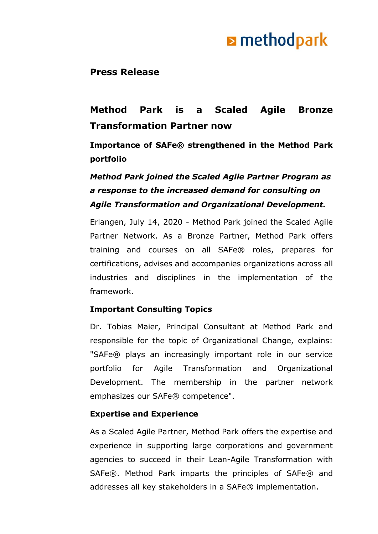## **E** methodpark

### **Press Release**

### **Method Park is a Scaled Agile Bronze Transformation Partner now**

**Importance of SAFe® strengthened in the Method Park portfolio** 

### *Method Park joined the Scaled Agile Partner Program as a response to the increased demand for consulting on Agile Transformation and Organizational Development.*

Erlangen, July 14, 2020 - Method Park joined the Scaled Agile Partner Network. As a Bronze Partner, Method Park offers training and courses on all SAFe® roles, prepares for certifications, advises and accompanies organizations across all industries and disciplines in the implementation of the framework.

### **Important Consulting Topics**

Dr. Tobias Maier, Principal Consultant at Method Park and responsible for the topic of Organizational Change, explains: "SAFe® plays an increasingly important role in our service portfolio for Agile Transformation and Organizational Development. The membership in the partner network emphasizes our SAFe® competence".

### **Expertise and Experience**

As a Scaled Agile Partner, Method Park offers the expertise and experience in supporting large corporations and government agencies to succeed in their Lean-Agile Transformation with SAFe®. Method Park imparts the principles of SAFe® and addresses all key stakeholders in a SAFe® implementation.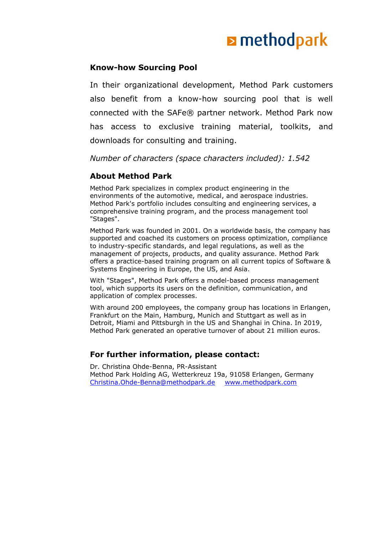# **E** methodpark

#### **Know-how Sourcing Pool**

In their organizational development, Method Park customers also benefit from a know-how sourcing pool that is well connected with the SAFe® partner network. Method Park now has access to exclusive training material, toolkits, and downloads for consulting and training.

*Number of characters (space characters included): 1.542*

#### **About Method Park**

Method Park specializes in complex product engineering in the environments of the automotive, medical, and aerospace industries. Method Park's portfolio includes consulting and engineering services, a comprehensive training program, and the process management tool "Stages".

Method Park was founded in 2001. On a worldwide basis, the company has supported and coached its customers on process optimization, compliance to industry-specific standards, and legal regulations, as well as the management of projects, products, and quality assurance. Method Park offers a practice-based training program on all current topics of Software & Systems Engineering in Europe, the US, and Asia.

With "Stages", Method Park offers a model-based process management tool, which supports its users on the definition, communication, and application of complex processes.

With around 200 employees, the company group has locations in Erlangen, Frankfurt on the Main, Hamburg, Munich and Stuttgart as well as in Detroit, Miami and Pittsburgh in the US and Shanghai in China. In 2019, Method Park generated an operative turnover of about 21 million euros.

#### **For further information, please contact:**

Dr. Christina Ohde-Benna, PR-Assistant Method Park Holding AG, Wetterkreuz 19a, 91058 Erlangen, Germany [Christina.Ohde-Benna@methodpark.de](mailto:Christina.Ohde-Benna@methodpark.de) [www.methodpark.com](http://www.methodpark.com/)